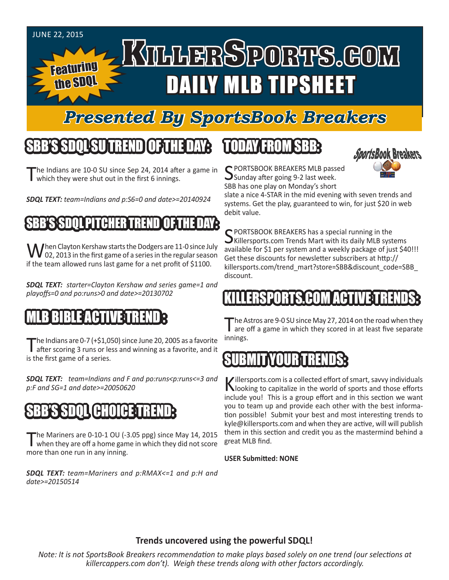#### JUNE 22, 2015

Featuring

the SDQL

# KTLLERSPORTS.GOM DAILY MLB TIPSHEET

### *Presented By SportsBook Breakers*

#### SBB'S SDQLSU TREND OF THE DAY:

The Indians are 10-0 SU since Sep 24, 2014 after a game in which they were shut out in the first 6 innings.

*SDQL TEXT: team=Indians and p:S6=0 and date>=20140924*

#### SBSTOOL PITCHHER TR

When Clayton Kershaw starts the Dodgers are 11-0 since July  $\bf{V}$  02, 2013 in the first game of a series in the regular season if the team allowed runs last game for a net profit of \$1100.

*SDQL TEXT: starter=Clayton Kershaw and series game=1 and playoffs=0 and po:runs>0 and date>=20130702*

#### MLB BIBLE ACTIVE TREND :

The Indians are 0-7 (+\$1,050) since June 20, 2005 as a favorite<br>after scoring 3 runs or less and winning as a favorite, and it is the first game of a series.

*SDQL TEXT: team=Indians and F and po:runs<p:runs<=3 and p:F and SG=1 and date>=20050620* 

### SBB'S SDQL CHOICE TREND:

The Mariners are 0-10-1 OU (-3.05 ppg) since May 14, 2015<br>When they are off a home game in which they did not score more than one run in any inning.

*SDQL TEXT: team=Mariners and p:RMAX<=1 and p:H and date>=20150514*

#### TODAY FROM SBB:



C PORTSBOOK BREAKERS MLB passed Sunday after going 9-2 last week. SBB has one play on Monday's short

slate a nice 4-STAR in the mid evening with seven trends and systems. Get the play, guaranteed to win, for just \$20 in web debit value.

C PORTSBOOK BREAKERS has a special running in the  $\bigcup$ Killersports.com Trends Mart with its daily MLB systems available for \$1 per system and a weekly package of just \$40!!! Get these discounts for newsletter subscribers at http:// killersports.com/trend\_mart?store=SBB&discount\_code=SBB discount.

#### ERSPORTS.COM ACT

The Astros are 9-0 SU since May 27, 2014 on the road when they<br>are off a game in which they scored in at least five separate innings.

#### TYOUR TREN

Killersports.com is a collected effort of smart, savvy individuals looking to capitalize in the world of sports and those efforts include you! This is a group effort and in this section we want you to team up and provide each other with the best information possible! Submit your best and most interesting trends to kyle@killersports.com and when they are active, will will publish them in this section and credit you as the mastermind behind a great MLB find.

**USER Submitted: NONE**

#### **Trends uncovered using the powerful SDQL!**

*Note: It is not SportsBook Breakers recommendation to make plays based solely on one trend (our selections at killercappers.com don't). Weigh these trends along with other factors accordingly.*